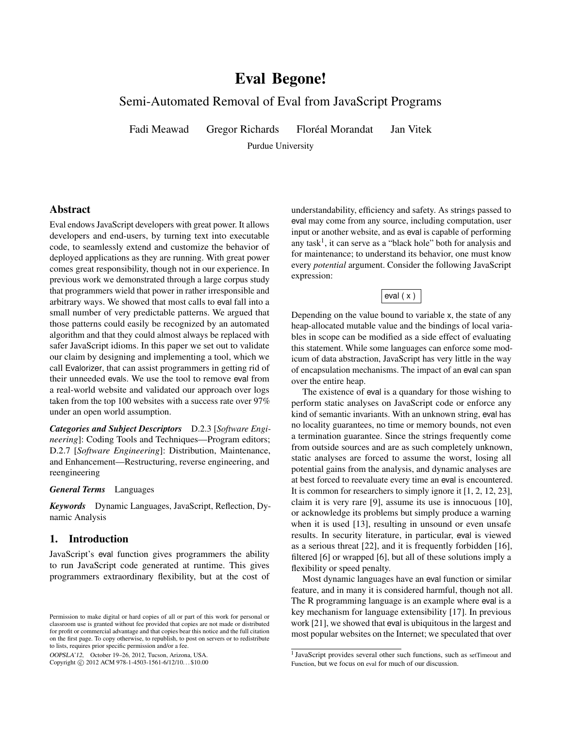# Eval Begone!

## Semi-Automated Removal of Eval from JavaScript Programs

Fadi Meawad Gregor Richards Floréal Morandat Jan Vitek

Purdue University

Abstract

Eval endows JavaScript developers with great power. It allows developers and end-users, by turning text into executable code, to seamlessly extend and customize the behavior of deployed applications as they are running. With great power comes great responsibility, though not in our experience. In previous work we demonstrated through a large corpus study that programmers wield that power in rather irresponsible and arbitrary ways. We showed that most calls to eval fall into a small number of very predictable patterns. We argued that those patterns could easily be recognized by an automated algorithm and that they could almost always be replaced with safer JavaScript idioms. In this paper we set out to validate our claim by designing and implementing a tool, which we call Evalorizer, that can assist programmers in getting rid of their unneeded evals. We use the tool to remove eval from a real-world website and validated our approach over logs taken from the top 100 websites with a success rate over 97% under an open world assumption.

*Categories and Subject Descriptors* D.2.3 [*Software Engineering*]: Coding Tools and Techniques—Program editors; D.2.7 [*Software Engineering*]: Distribution, Maintenance, and Enhancement—Restructuring, reverse engineering, and reengineering

*General Terms* Languages

*Keywords* Dynamic Languages, JavaScript, Reflection, Dynamic Analysis

#### 1. Introduction

JavaScript's eval function gives programmers the ability to run JavaScript code generated at runtime. This gives programmers extraordinary flexibility, but at the cost of

OOPSLA'12, October 19–26, 2012, Tucson, Arizona, USA.

Copyright © 2012 ACM 978-1-4503-1561-6/12/10... \$10.00

understandability, efficiency and safety. As strings passed to eval may come from any source, including computation, user input or another website, and as eval is capable of performing any task<sup>[1](#page-0-0)</sup>, it can serve as a "black hole" both for analysis and for maintenance; to understand its behavior, one must know every *potential* argument. Consider the following JavaScript expression:

## eval  $(x)$

Depending on the value bound to variable x, the state of any heap-allocated mutable value and the bindings of local variables in scope can be modified as a side effect of evaluating this statement. While some languages can enforce some modicum of data abstraction, JavaScript has very little in the way of encapsulation mechanisms. The impact of an eval can span over the entire heap.

The existence of eval is a quandary for those wishing to perform static analyses on JavaScript code or enforce any kind of semantic invariants. With an unknown string, eval has no locality guarantees, no time or memory bounds, not even a termination guarantee. Since the strings frequently come from outside sources and are as such completely unknown, static analyses are forced to assume the worst, losing all potential gains from the analysis, and dynamic analyses are at best forced to reevaluate every time an eval is encountered. It is common for researchers to simply ignore it [\[1,](#page-13-0) [2,](#page-13-1) [12,](#page-13-2) [23\]](#page-13-3), claim it is very rare [\[9\]](#page-13-4), assume its use is innocuous [\[10\]](#page-13-5), or acknowledge its problems but simply produce a warning when it is used [\[13\]](#page-13-6), resulting in unsound or even unsafe results. In security literature, in particular, eval is viewed as a serious threat [\[22\]](#page-13-7), and it is frequently forbidden [\[16\]](#page-13-8), filtered [\[6\]](#page-13-9) or wrapped [\[6\]](#page-13-9), but all of these solutions imply a flexibility or speed penalty.

Most dynamic languages have an eval function or similar feature, and in many it is considered harmful, though not all. The R programming language is an example where eval is a key mechanism for language extensibility [\[17\]](#page-13-10). In previous work [\[21\]](#page-13-11), we showed that eval is ubiquitous in the largest and most popular websites on the Internet; we speculated that over

Permission to make digital or hard copies of all or part of this work for personal or classroom use is granted without fee provided that copies are not made or distributed for profit or commercial advantage and that copies bear this notice and the full citation on the first page. To copy otherwise, to republish, to post on servers or to redistribute to lists, requires prior specific permission and/or a fee.

<span id="page-0-0"></span><sup>&</sup>lt;sup>1</sup> JavaScript provides several other such functions, such as setTimeout and Function, but we focus on eval for much of our discussion.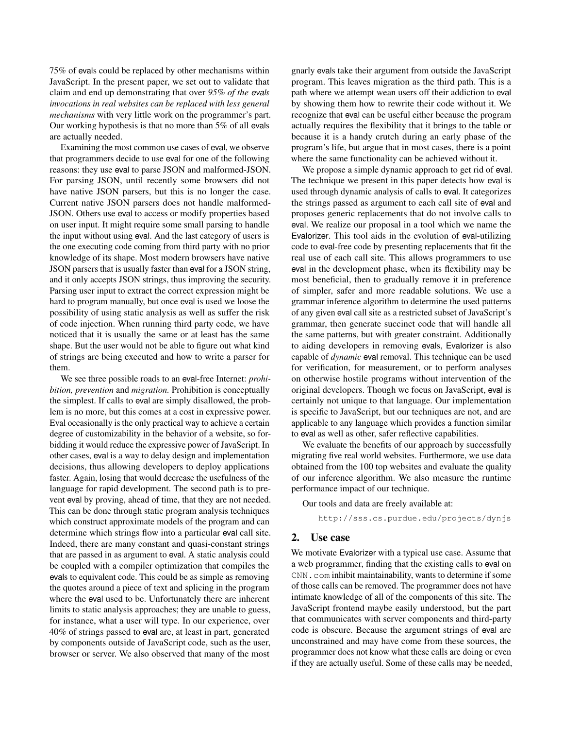75% of evals could be replaced by other mechanisms within JavaScript. In the present paper, we set out to validate that claim and end up demonstrating that over *95% of the evals invocations in real websites can be replaced with less general mechanisms* with very little work on the programmer's part. Our working hypothesis is that no more than 5% of all evals are actually needed.

Examining the most common use cases of eval, we observe that programmers decide to use eval for one of the following reasons: they use eval to parse JSON and malformed-JSON. For parsing JSON, until recently some browsers did not have native JSON parsers, but this is no longer the case. Current native JSON parsers does not handle malformed-JSON. Others use eval to access or modify properties based on user input. It might require some small parsing to handle the input without using eval. And the last category of users is the one executing code coming from third party with no prior knowledge of its shape. Most modern browsers have native JSON parsers that is usually faster than eval for a JSON string, and it only accepts JSON strings, thus improving the security. Parsing user input to extract the correct expression might be hard to program manually, but once eval is used we loose the possibility of using static analysis as well as suffer the risk of code injection. When running third party code, we have noticed that it is usually the same or at least has the same shape. But the user would not be able to figure out what kind of strings are being executed and how to write a parser for them.

We see three possible roads to an eval-free Internet: *prohibition, prevention* and *migration.* Prohibition is conceptually the simplest. If calls to eval are simply disallowed, the problem is no more, but this comes at a cost in expressive power. Eval occasionally is the only practical way to achieve a certain degree of customizability in the behavior of a website, so forbidding it would reduce the expressive power of JavaScript. In other cases, eval is a way to delay design and implementation decisions, thus allowing developers to deploy applications faster. Again, losing that would decrease the usefulness of the language for rapid development. The second path is to prevent eval by proving, ahead of time, that they are not needed. This can be done through static program analysis techniques which construct approximate models of the program and can determine which strings flow into a particular eval call site. Indeed, there are many constant and quasi-constant strings that are passed in as argument to eval. A static analysis could be coupled with a compiler optimization that compiles the evals to equivalent code. This could be as simple as removing the quotes around a piece of text and splicing in the program where the eval used to be. Unfortunately there are inherent limits to static analysis approaches; they are unable to guess, for instance, what a user will type. In our experience, over 40% of strings passed to eval are, at least in part, generated by components outside of JavaScript code, such as the user, browser or server. We also observed that many of the most

gnarly evals take their argument from outside the JavaScript program. This leaves migration as the third path. This is a path where we attempt wean users off their addiction to eval by showing them how to rewrite their code without it. We recognize that eval can be useful either because the program actually requires the flexibility that it brings to the table or because it is a handy crutch during an early phase of the program's life, but argue that in most cases, there is a point where the same functionality can be achieved without it.

We propose a simple dynamic approach to get rid of eval. The technique we present in this paper detects how eval is used through dynamic analysis of calls to eval. It categorizes the strings passed as argument to each call site of eval and proposes generic replacements that do not involve calls to eval. We realize our proposal in a tool which we name the Evalorizer. This tool aids in the evolution of eval-utilizing code to eval-free code by presenting replacements that fit the real use of each call site. This allows programmers to use eval in the development phase, when its flexibility may be most beneficial, then to gradually remove it in preference of simpler, safer and more readable solutions. We use a grammar inference algorithm to determine the used patterns of any given eval call site as a restricted subset of JavaScript's grammar, then generate succinct code that will handle all the same patterns, but with greater constraint. Additionally to aiding developers in removing evals, Evalorizer is also capable of *dynamic* eval removal. This technique can be used for verification, for measurement, or to perform analyses on otherwise hostile programs without intervention of the original developers. Though we focus on JavaScript, eval is certainly not unique to that language. Our implementation is specific to JavaScript, but our techniques are not, and are applicable to any language which provides a function similar to eval as well as other, safer reflective capabilities.

We evaluate the benefits of our approach by successfully migrating five real world websites. Furthermore, we use data obtained from the 100 top websites and evaluate the quality of our inference algorithm. We also measure the runtime performance impact of our technique.

Our tools and data are freely available at:

<http://sss.cs.purdue.edu/projects/dynjs>

## 2. Use case

We motivate Evalorizer with a typical use case. Assume that a web programmer, finding that the existing calls to eval on <CNN.com> inhibit maintainability, wants to determine if some of those calls can be removed. The programmer does not have intimate knowledge of all of the components of this site. The JavaScript frontend maybe easily understood, but the part that communicates with server components and third-party code is obscure. Because the argument strings of eval are unconstrained and may have come from these sources, the programmer does not know what these calls are doing or even if they are actually useful. Some of these calls may be needed,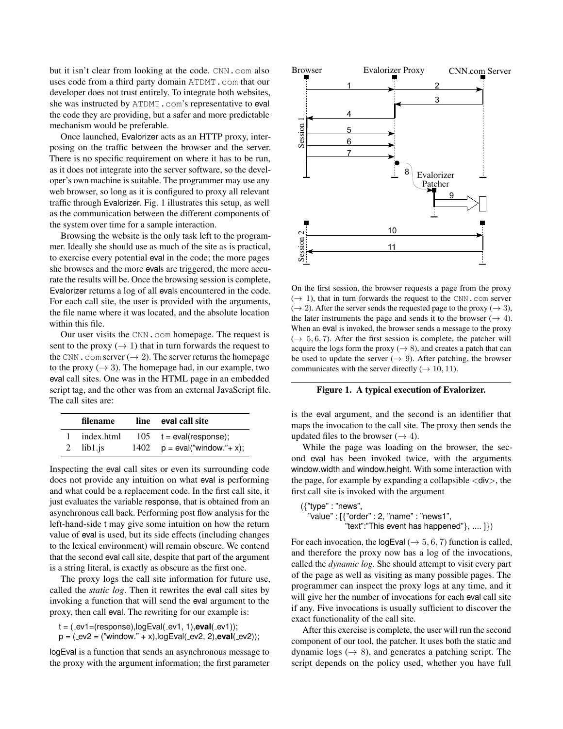but it isn't clear from looking at the code. <CNN.com> also uses code from a third party domain <ATDMT.com> that our developer does not trust entirely. To integrate both websites, she was instructed by <ATDMT.com>'s representative to eval the code they are providing, but a safer and more predictable mechanism would be preferable.

Once launched, Evalorizer acts as an HTTP proxy, interposing on the traffic between the browser and the server. There is no specific requirement on where it has to be run, as it does not integrate into the server software, so the developer's own machine is suitable. The programmer may use any web browser, so long as it is configured to proxy all relevant traffic through Evalorizer. Fig. [1](#page-2-0) illustrates this setup, as well as the communication between the different components of the system over time for a sample interaction.

Browsing the website is the only task left to the programmer. Ideally she should use as much of the site as is practical, to exercise every potential eval in the code; the more pages she browses and the more evals are triggered, the more accurate the results will be. Once the browsing session is complete, Evalorizer returns a log of all evals encountered in the code. For each call site, the user is provided with the arguments, the file name where it was located, and the absolute location within this file.

Our user visits the <CNN.com> homepage. The request is sent to the proxy  $(\rightarrow 1)$  that in turn forwards the request to the <CNN.com> server ( $\rightarrow$  2). The server returns the homepage to the proxy ( $\rightarrow$  3). The homepage had, in our example, two eval call sites. One was in the HTML page in an embedded script tag, and the other was from an external JavaScript file. The call sites are:

| filename                  | line eval call site                                          |
|---------------------------|--------------------------------------------------------------|
| index.html<br>2 $lib1.is$ | $105$ t = eval(response);<br>1402 $p = eval("window." + x);$ |

Inspecting the eval call sites or even its surrounding code does not provide any intuition on what eval is performing and what could be a replacement code. In the first call site, it just evaluates the variable response, that is obtained from an asynchronous call back. Performing post flow analysis for the left-hand-side t may give some intuition on how the return value of eval is used, but its side effects (including changes to the lexical environment) will remain obscure. We contend that the second eval call site, despite that part of the argument is a string literal, is exactly as obscure as the first one.

The proxy logs the call site information for future use, called the *static log*. Then it rewrites the eval call sites by invoking a function that will send the eval argument to the proxy, then call eval. The rewriting for our example is:

 $t = (-ev1 = (response)$ , $logEval(-ev1, 1)$ ,**eval** $(-ev1)$ );  $p = (-ev2 = ("window." + x), logEval(-ev2, 2), eval(-ev2));$ 

logEval is a function that sends an asynchronous message to the proxy with the argument information; the first parameter



On the first session, the browser requests a page from the proxy  $(\rightarrow 1)$ , that in turn forwards the request to the <CNN.com> server  $(\rightarrow 2)$ . After the server sends the requested page to the proxy  $(\rightarrow 3)$ , the later instruments the page and sends it to the browser  $(\rightarrow 4)$ . When an eval is invoked, the browser sends a message to the proxy  $(\rightarrow 5, 6, 7)$ . After the first session is complete, the patcher will acquire the logs form the proxy ( $\rightarrow$  8), and creates a patch that can be used to update the server  $(\rightarrow 9)$ . After patching, the browser communicates with the server directly  $(\rightarrow 10, 11)$ .

#### <span id="page-2-0"></span>Figure 1. A typical execution of Evalorizer.

is the eval argument, and the second is an identifier that maps the invocation to the call site. The proxy then sends the updated files to the browser  $(\rightarrow 4)$ .

While the page was loading on the browser, the second eval has been invoked twice, with the arguments window.width and window.height. With some interaction with the page, for example by expanding a collapsible  $\langle \text{div} \rangle$ , the first call site is invoked with the argument

({"type" : "news", "value" : [{"order" : 2, "name" : "news1", "text":"This event has happened"}, .... ]})

For each invocation, the logEval ( $\rightarrow$  5, 6, 7) function is called, and therefore the proxy now has a log of the invocations, called the *dynamic log*. She should attempt to visit every part of the page as well as visiting as many possible pages. The programmer can inspect the proxy logs at any time, and it will give her the number of invocations for each eval call site if any. Five invocations is usually sufficient to discover the exact functionality of the call site.

After this exercise is complete, the user will run the second component of our tool, the patcher. It uses both the static and dynamic logs  $(\rightarrow 8)$ , and generates a patching script. The script depends on the policy used, whether you have full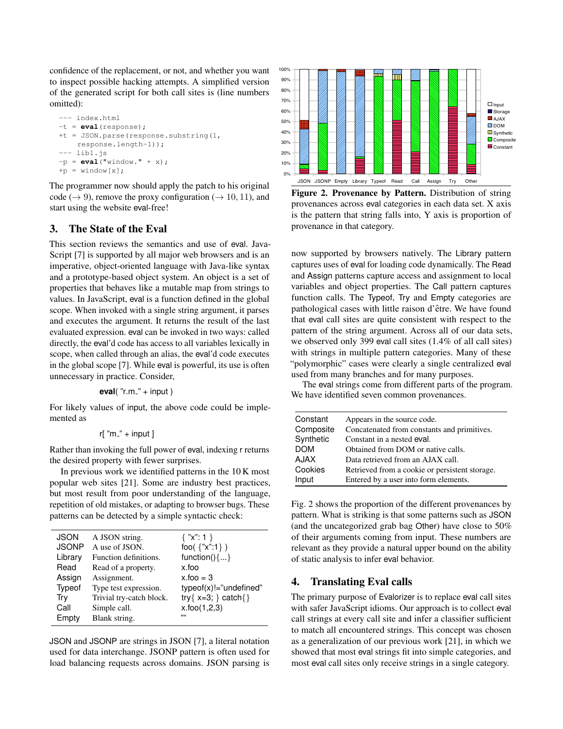confidence of the replacement, or not, and whether you want to inspect possible hacking attempts. A simplified version of the generated script for both call sites is (line numbers omitted):

```
--- index.html
-t = eval(response);
+t = JSON.parse(response.substring(1,
    response.length-1));
--- lib1.js
-p = eval("window." + x);
+p = window[x];
```
The programmer now should apply the patch to his original code ( $\rightarrow$  9), remove the proxy configuration ( $\rightarrow$  10, 11), and start using the website eval-free!

## 3. The State of the Eval

This section reviews the semantics and use of eval. Java-Script [\[7\]](#page-13-12) is supported by all major web browsers and is an imperative, object-oriented language with Java-like syntax and a prototype-based object system. An object is a set of properties that behaves like a mutable map from strings to values. In JavaScript, eval is a function defined in the global scope. When invoked with a single string argument, it parses and executes the argument. It returns the result of the last evaluated expression. eval can be invoked in two ways: called directly, the eval'd code has access to all variables lexically in scope, when called through an alias, the eval'd code executes in the global scope [\[7\]](#page-13-12). While eval is powerful, its use is often unnecessary in practice. Consider,

$$
eval('r.m.'' + input)
$$

For likely values of input, the above code could be implemented as

$$
r[ "m." + input ]
$$

Rather than invoking the full power of eval, indexing r returns the desired property with fewer surprises.

In previous work we identified patterns in the 10 K most popular web sites [\[21\]](#page-13-11). Some are industry best practices, but most result from poor understanding of the language, repetition of old mistakes, or adapting to browser bugs. These patterns can be detected by a simple syntactic check:

| <b>JSON</b>  | A JSON string.           | $\{$ "x": 1 }              |
|--------------|--------------------------|----------------------------|
| <b>JSONP</b> | A use of JSON.           | foo( $\{$ "x":1})          |
| Library      | Function definitions.    | function( $\{\}$           |
| Read         | Read of a property.      | x.foo                      |
| Assign       | Assignment.              | $x_{0} = 3$                |
| Typeof       | Type test expression.    | $typeof(x)! = "undefined"$ |
| Try          | Trivial try-catch block. | try{ $x=3$ ; } catch{}     |
| Call         | Simple call.             | x foo(1,2,3)               |
| Empty        | Blank string.            | ,,,,                       |
|              |                          |                            |

JSON and JSONP are strings in JSON [\[7\]](#page-13-12), a literal notation used for data interchange. JSONP pattern is often used for load balancing requests across domains. JSON parsing is



<span id="page-3-0"></span>

now supported by browsers natively. The Library pattern captures uses of eval for loading code dynamically. The Read and Assign patterns capture access and assignment to local variables and object properties. The Call pattern captures function calls. The Typeof, Try and Empty categories are pathological cases with little raison d'être. We have found that eval call sites are quite consistent with respect to the pattern of the string argument. Across all of our data sets, we observed only 399 eval call sites (1.4% of all call sites) with strings in multiple pattern categories. Many of these "polymorphic" cases were clearly a single centralized eval used from many branches and for many purposes.

The eval strings come from different parts of the program. We have identified seven common provenances.

| Constant    | Appears in the source code.                    |
|-------------|------------------------------------------------|
| Composite   | Concatenated from constants and primitives.    |
| Synthetic   | Constant in a nested eval.                     |
| <b>DOM</b>  | Obtained from DOM or native calls.             |
| <b>AJAX</b> | Data retrieved from an AJAX call.              |
| Cookies     | Retrieved from a cookie or persistent storage. |
| Input       | Entered by a user into form elements.          |

Fig. [2](#page-3-0) shows the proportion of the different provenances by pattern. What is striking is that some patterns such as JSON (and the uncategorized grab bag Other) have close to 50% of their arguments coming from input. These numbers are relevant as they provide a natural upper bound on the ability of static analysis to infer eval behavior.

## <span id="page-3-1"></span>4. Translating Eval calls

The primary purpose of Evalorizer is to replace eval call sites with safer JavaScript idioms. Our approach is to collect eval call strings at every call site and infer a classifier sufficient to match all encountered strings. This concept was chosen as a generalization of our previous work [\[21\]](#page-13-11), in which we showed that most eval strings fit into simple categories, and most eval call sites only receive strings in a single category.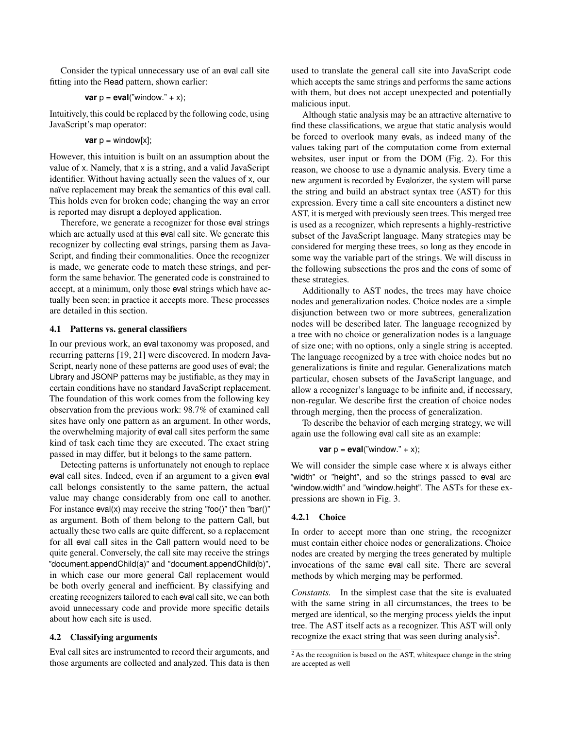Consider the typical unnecessary use of an eval call site fitting into the Read pattern, shown earlier:

#### **var**  $p = eval("window." + x);$

Intuitively, this could be replaced by the following code, using JavaScript's map operator:

$$
var p = window[x];
$$

However, this intuition is built on an assumption about the value of x. Namely, that x is a string, and a valid JavaScript identifier. Without having actually seen the values of x, our naïve replacement may break the semantics of this eval call. This holds even for broken code; changing the way an error is reported may disrupt a deployed application.

Therefore, we generate a recognizer for those eval strings which are actually used at this eval call site. We generate this recognizer by collecting eval strings, parsing them as Java-Script, and finding their commonalities. Once the recognizer is made, we generate code to match these strings, and perform the same behavior. The generated code is constrained to accept, at a minimum, only those eval strings which have actually been seen; in practice it accepts more. These processes are detailed in this section.

#### 4.1 Patterns vs. general classifiers

In our previous work, an eval taxonomy was proposed, and recurring patterns [\[19,](#page-13-13) [21\]](#page-13-11) were discovered. In modern Java-Script, nearly none of these patterns are good uses of eval; the Library and JSONP patterns may be justifiable, as they may in certain conditions have no standard JavaScript replacement. The foundation of this work comes from the following key observation from the previous work: 98.7% of examined call sites have only one pattern as an argument. In other words, the overwhelming majority of eval call sites perform the same kind of task each time they are executed. The exact string passed in may differ, but it belongs to the same pattern.

Detecting patterns is unfortunately not enough to replace eval call sites. Indeed, even if an argument to a given eval call belongs consistently to the same pattern, the actual value may change considerably from one call to another. For instance eval(x) may receive the string "foo()" then "bar()" as argument. Both of them belong to the pattern Call, but actually these two calls are quite different, so a replacement for all eval call sites in the Call pattern would need to be quite general. Conversely, the call site may receive the strings "document.appendChild(a)" and "document.appendChild(b)", in which case our more general Call replacement would be both overly general and inefficient. By classifying and creating recognizers tailored to each eval call site, we can both avoid unnecessary code and provide more specific details about how each site is used.

## 4.2 Classifying arguments

Eval call sites are instrumented to record their arguments, and those arguments are collected and analyzed. This data is then

used to translate the general call site into JavaScript code which accepts the same strings and performs the same actions with them, but does not accept unexpected and potentially malicious input.

Although static analysis may be an attractive alternative to find these classifications, we argue that static analysis would be forced to overlook many evals, as indeed many of the values taking part of the computation come from external websites, user input or from the DOM (Fig. [2\)](#page-3-0). For this reason, we choose to use a dynamic analysis. Every time a new argument is recorded by Evalorizer, the system will parse the string and build an abstract syntax tree (AST) for this expression. Every time a call site encounters a distinct new AST, it is merged with previously seen trees. This merged tree is used as a recognizer, which represents a highly-restrictive subset of the JavaScript language. Many strategies may be considered for merging these trees, so long as they encode in some way the variable part of the strings. We will discuss in the following subsections the pros and the cons of some of these strategies.

Additionally to AST nodes, the trees may have choice nodes and generalization nodes. Choice nodes are a simple disjunction between two or more subtrees, generalization nodes will be described later. The language recognized by a tree with no choice or generalization nodes is a language of size one; with no options, only a single string is accepted. The language recognized by a tree with choice nodes but no generalizations is finite and regular. Generalizations match particular, chosen subsets of the JavaScript language, and allow a recognizer's language to be infinite and, if necessary, non-regular. We describe first the creation of choice nodes through merging, then the process of generalization.

To describe the behavior of each merging strategy, we will again use the following eval call site as an example:

**var**  $p = eval("window." + x);$ 

We will consider the simple case where x is always either "width" or "height", and so the strings passed to eval are "window.width" and "window.height". The ASTs for these expressions are shown in Fig. [3.](#page-5-0)

#### 4.2.1 Choice

In order to accept more than one string, the recognizer must contain either choice nodes or generalizations. Choice nodes are created by merging the trees generated by multiple invocations of the same eval call site. There are several methods by which merging may be performed.

*Constants.* In the simplest case that the site is evaluated with the same string in all circumstances, the trees to be merged are identical, so the merging process yields the input tree. The AST itself acts as a recognizer. This AST will only recognize the exact string that was seen during analysis<sup>[2](#page-4-0)</sup>.

<span id="page-4-0"></span> $2$ As the recognition is based on the AST, whitespace change in the string are accepted as well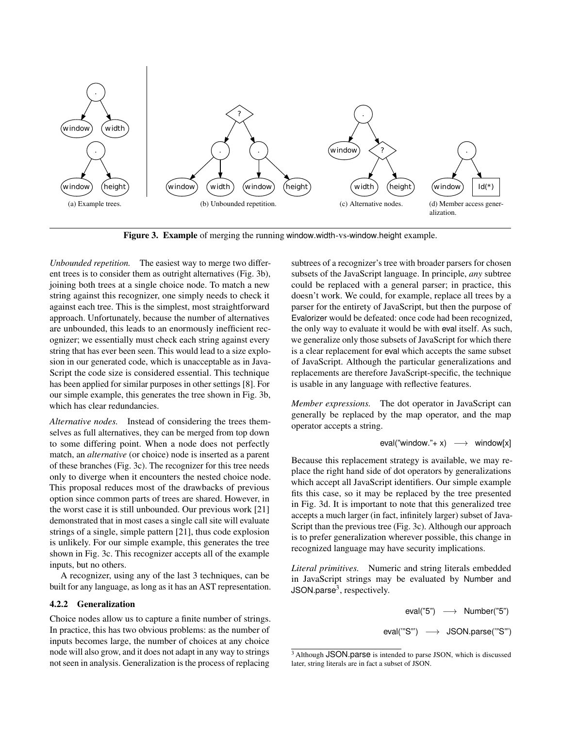

<span id="page-5-1"></span><span id="page-5-0"></span>Figure 3. Example of merging the running window.width-vs-window.height example.

*Unbounded repetition.* The easiest way to merge two different trees is to consider them as outright alternatives (Fig. [3b\)](#page-5-1), joining both trees at a single choice node. To match a new string against this recognizer, one simply needs to check it against each tree. This is the simplest, most straightforward approach. Unfortunately, because the number of alternatives are unbounded, this leads to an enormously inefficient recognizer; we essentially must check each string against every string that has ever been seen. This would lead to a size explosion in our generated code, which is unacceptable as in Java-Script the code size is considered essential. This technique has been applied for similar purposes in other settings [\[8\]](#page-13-14). For our simple example, this generates the tree shown in Fig. [3b,](#page-5-1) which has clear redundancies.

*Alternative nodes.* Instead of considering the trees themselves as full alternatives, they can be merged from top down to some differing point. When a node does not perfectly match, an *alternative* (or choice) node is inserted as a parent of these branches (Fig. [3c\)](#page-5-2). The recognizer for this tree needs only to diverge when it encounters the nested choice node. This proposal reduces most of the drawbacks of previous option since common parts of trees are shared. However, in the worst case it is still unbounded. Our previous work [\[21\]](#page-13-11) demonstrated that in most cases a single call site will evaluate strings of a single, simple pattern [\[21\]](#page-13-11), thus code explosion is unlikely. For our simple example, this generates the tree shown in Fig. [3c.](#page-5-2) This recognizer accepts all of the example inputs, but no others.

A recognizer, using any of the last 3 techniques, can be built for any language, as long as it has an AST representation.

#### 4.2.2 Generalization

Choice nodes allow us to capture a finite number of strings. In practice, this has two obvious problems: as the number of inputs becomes large, the number of choices at any choice node will also grow, and it does not adapt in any way to strings not seen in analysis. Generalization is the process of replacing <span id="page-5-3"></span><span id="page-5-2"></span>subtrees of a recognizer's tree with broader parsers for chosen subsets of the JavaScript language. In principle, *any* subtree could be replaced with a general parser; in practice, this doesn't work. We could, for example, replace all trees by a parser for the entirety of JavaScript, but then the purpose of Evalorizer would be defeated: once code had been recognized, the only way to evaluate it would be with eval itself. As such, we generalize only those subsets of JavaScript for which there is a clear replacement for eval which accepts the same subset of JavaScript. Although the particular generalizations and replacements are therefore JavaScript-specific, the technique is usable in any language with reflective features.

*Member expressions.* The dot operator in JavaScript can generally be replaced by the map operator, and the map operator accepts a string.

$$
eval("window."+x) \longrightarrow window[x]
$$

Because this replacement strategy is available, we may replace the right hand side of dot operators by generalizations which accept all JavaScript identifiers. Our simple example fits this case, so it may be replaced by the tree presented in Fig. [3d.](#page-5-3) It is important to note that this generalized tree accepts a much larger (in fact, infinitely larger) subset of Java-Script than the previous tree (Fig. [3c\)](#page-5-2). Although our approach is to prefer generalization wherever possible, this change in recognized language may have security implications.

*Literal primitives.* Numeric and string literals embedded in JavaScript strings may be evaluated by Number and JSON.parse<sup>[3](#page-5-4)</sup>, respectively.

 $eval("5") \longrightarrow$  Number("5")

eval("S") → JSON.parse("S")

<span id="page-5-4"></span><sup>&</sup>lt;sup>3</sup> Although JSON.parse is intended to parse JSON, which is discussed later, string literals are in fact a subset of JSON.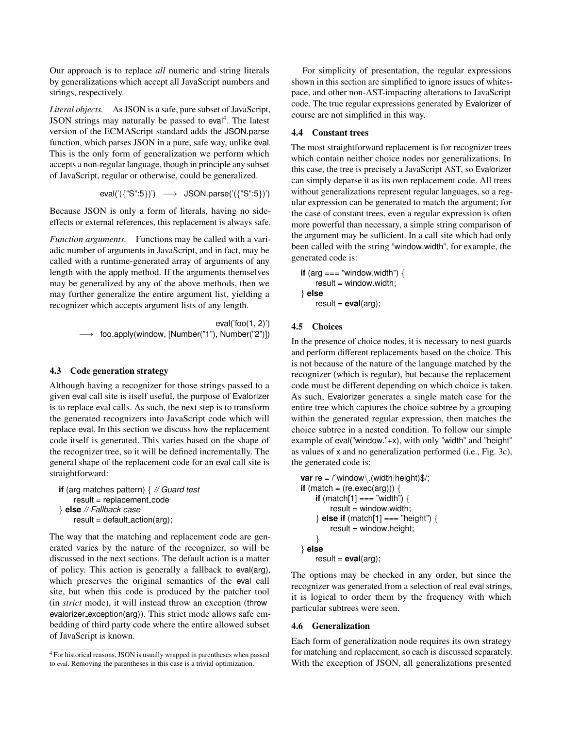Our approach is to replace *all* numeric and string literals by generalizations which accept all JavaScript numbers and strings, respectively.

*Literal objects.* As JSON is a safe, pure subset of JavaScript, JSON strings may naturally be passed to eval<sup>[4](#page-6-0)</sup>. The latest version of the ECMAScript standard adds the JSON.parse function, which parses JSON in a pure, safe way, unlike eval. This is the only form of generalization we perform which accepts a non-regular language, though in principle any subset of JavaScript, regular or otherwise, could be generalized.

 $eval('({"S":}5))') \longrightarrow JSON.parse'({'S":}5})')$ 

Because JSON is only a form of literals, having no sideeffects or external references, this replacement is always safe.

*Function arguments.* Functions may be called with a variadic number of arguments in JavaScript, and in fact, may be called with a runtime-generated array of arguments of any length with the apply method. If the arguments themselves may be generalized by any of the above methods, then we may further generalize the entire argument list, yielding a recognizer which accepts argument lists of any length.

> eval('foo(1, 2)') −→ foo.apply(window, [Number("1"), Number("2")])

#### 4.3 Code generation strategy

Although having a recognizer for those strings passed to a given eval call site is itself useful, the purpose of Evalorizer is to replace eval calls. As such, the next step is to transform the generated recognizers into JavaScript code which will replace eval. In this section we discuss how the replacement code itself is generated. This varies based on the shape of the recognizer tree, so it will be defined incrementally. The general shape of the replacement code for an eval call site is straightforward:

**if** (arg matches pattern) { *// Guard test* result = replacement\_code } **else** *// Fallback case*  $result = default\_action(arg);$ 

The way that the matching and replacement code are generated varies by the nature of the recognizer, so will be discussed in the next sections. The default action is a matter of policy. This action is generally a fallback to eval(arg), which preserves the original semantics of the eval call site, but when this code is produced by the patcher tool (in *strict* mode), it will instead throw an exception (throw evalorizer exception(arg)). This strict mode allows safe embedding of third party code where the entire allowed subset of JavaScript is known.

For simplicity of presentation, the regular expressions shown in this section are simplified to ignore issues of whitespace, and other non-AST-impacting alterations to JavaScript code. The true regular expressions generated by Evalorizer of course are not simplified in this way.

#### 4.4 Constant trees

The most straightforward replacement is for recognizer trees which contain neither choice nodes nor generalizations. In this case, the tree is precisely a JavaScript AST, so Evalorizer can simply deparse it as its own replacement code. All trees without generalizations represent regular languages, so a regular expression can be generated to match the argument; for the case of constant trees, even a regular expression is often more powerful than necessary, a simple string comparison of the argument may be sufficient. In a call site which had only been called with the string "window.width", for example, the generated code is:

```
if (arg === "window.width") {
    result = window.width;
} else
    result = eval(arg);
```
#### 4.5 Choices

In the presence of choice nodes, it is necessary to nest guards and perform different replacements based on the choice. This is not because of the nature of the language matched by the recognizer (which is regular), but because the replacement code must be different depending on which choice is taken. As such, Evalorizer generates a single match case for the entire tree which captures the choice subtree by a grouping within the generated regular expression, then matches the choice subtree in a nested condition. To follow our simple example of eval("window."+x), with only "width" and "height" as values of x and no generalization performed (i.e., Fig. [3c\)](#page-5-2), the generated code is:

```
var re = \sqrt{\text{window}}.(width|height)$/;
if (match = (re.exec(arg))) {
    if (match[1] === "width") {
         result = window.width;
    } else if (match[1] === "height") {
         result = window.height;
    }
} else
    result = eval(arg);
```
The options may be checked in any order, but since the recognizer was generated from a selection of real eval strings, it is logical to order them by the frequency with which particular subtrees were seen.

#### 4.6 Generalization

Each form of generalization node requires its own strategy for matching and replacement, so each is discussed separately. With the exception of JSON, all generalizations presented

<span id="page-6-0"></span> $\overline{4}$  For historical reasons, JSON is usually wrapped in parentheses when passed to eval. Removing the parentheses in this case is a trivial optimization.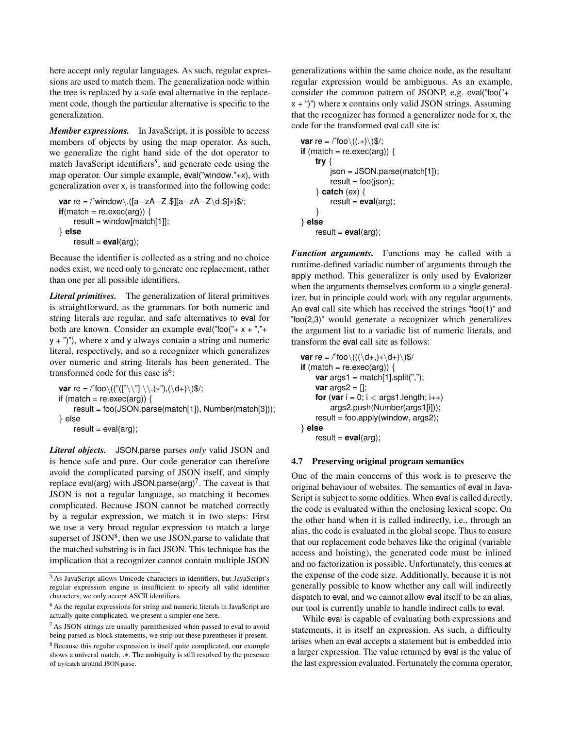here accept only regular languages. As such, regular expressions are used to match them. The generalization node within the tree is replaced by a safe eval alternative in the replacement code, though the particular alternative is specific to the generalization.

*Member expressions.* In JavaScript, it is possible to access members of objects by using the map operator. As such, we generalize the right hand side of the dot operator to match JavaScript identifiers<sup>[5](#page-7-0)</sup>, and generate code using the map operator. Our simple example, eval("window."+x), with generalization over x, is transformed into the following code:

**var** re = /ˆwindow\.([a-zA-Z\_\$][a-zA-Z\d\_\$]∗)\$/;  $if(match = re.execute(carg))$  { result = window[match[1]]; } **else** result = **eval**(arg);

Because the identifier is collected as a string and no choice nodes exist, we need only to generate one replacement, rather than one per all possible identifiers.

*Literal primitives.* The generalization of literal primitives is straightforward, as the grammars for both numeric and string literals are regular, and safe alternatives to eval for both are known. Consider an example eval("foo("+ x + ","+  $y +$ ")"), where x and y always contain a string and numeric literal, respectively, and so a recognizer which generalizes over numeric and string literals has been generated. The transformed code for this case is<sup>[6](#page-7-1)</sup>:

**var** re = /^foo\(("([^\\"]|\\.)\*"),(\d+)\)\$/; if (match = re.exec(arg)) { result = foo(JSON.parse(match[1]), Number(match[3])); } else  $result = eval(arg);$ 

*Literal objects.* JSON.parse parses *only* valid JSON and is hence safe and pure. Our code generator can therefore avoid the complicated parsing of JSON itself, and simply replace eval(arg) with JSON.parse(arg)<sup>[7](#page-7-2)</sup>. The caveat is that JSON is not a regular language, so matching it becomes complicated. Because JSON cannot be matched correctly by a regular expression, we match it in two steps: First we use a very broad regular expression to match a large superset of JSON<sup>[8](#page-7-3)</sup>, then we use JSON.parse to validate that the matched substring is in fact JSON. This technique has the implication that a recognizer cannot contain multiple JSON

<span id="page-7-0"></span><sup>5</sup> As JavaScript allows Unicode characters in identifiers, but JavaScript's regular expression engine is insufficient to specify all valid identifier characters, we only accept ASCII identifiers.

```
7 As JSON strings are usually parenthesized when passed to eval to avoid
being parsed as block statements, we strip out these parentheses if present.
```

```
8 Because this regular expression is itself quite complicated, our example
shows a univeral match, .∗. The ambiguity is still resolved by the presence
of try/catch around JSON.parse.
```
generalizations within the same choice node, as the resultant regular expression would be ambiguous. As an example, consider the common pattern of JSONP, e.g. eval("foo("+  $x +$ ")") where x contains only valid JSON strings. Assuming that the recognizer has formed a generalizer node for x, the code for the transformed eval call site is:

```
var re = /ˆfoo\((.∗)\)$/;
if (match = re.exec(arg)) {
    try {
        json = JSON.parse(match[1]);
        result = foo(json);} catch (ex) {
        result = eval(arg);
    }
} else
    result = eval(arg);
```
*Function arguments.* Functions may be called with a runtime-defined variadic number of arguments through the apply method. This generalizer is only used by Evalorizer when the arguments themselves conform to a single generalizer, but in principle could work with any regular arguments. An eval call site which has received the strings "foo(1)" and "foo(2,3)" would generate a recognizer which generalizes the argument list to a variadic list of numeric literals, and transform the eval call site as follows:

```
var re = \text{C}foo\left\langle \left( \left( \langle d_{+}, \rangle^{*} \langle d_{+} \rangle \right) \right) \right\rangleif (match = re.exec(arg)) {
      var args1 = match[1].split(",");
      var args2 = \iint;
      for (var i = 0; i < args1.length; i++)args2.push(Number(args1[i]));
      result = foo.appendy(window, args2);} else
      result = eval(arg);
```
#### 4.7 Preserving original program semantics

One of the main concerns of this work is to preserve the original behaviour of websites. The semantics of eval in Java-Script is subject to some oddities. When eval is called directly, the code is evaluated within the enclosing lexical scope. On the other hand when it is called indirectly, i.e., through an alias, the code is evaluated in the global scope. Thus to ensure that our replacement code behaves like the original (variable access and hoisting), the generated code must be inlined and no factorization is possible. Unfortunately, this comes at the expense of the code size. Additionally, because it is not generally possible to know whether any call will indirectly dispatch to eval, and we cannot allow eval itself to be an alias, our tool is currently unable to handle indirect calls to eval.

While eval is capable of evaluating both expressions and statements, it is itself an expression. As such, a difficulty arises when an eval accepts a statement but is embedded into a larger expression. The value returned by eval is the value of the last expression evaluated. Fortunately the comma operator,

<span id="page-7-1"></span><sup>6</sup> As the regular expressions for string and numeric literals in JavaScript are actually quite complicated, we present a simpler one here.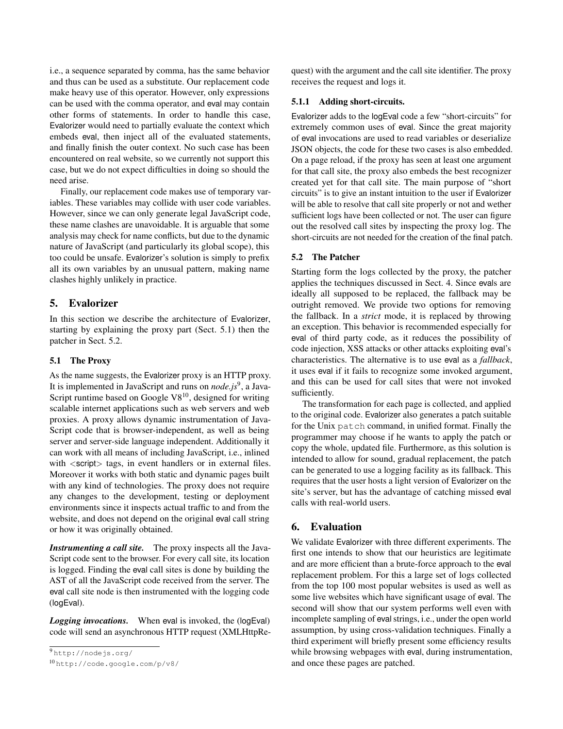i.e., a sequence separated by comma, has the same behavior and thus can be used as a substitute. Our replacement code make heavy use of this operator. However, only expressions can be used with the comma operator, and eval may contain other forms of statements. In order to handle this case, Evalorizer would need to partially evaluate the context which embeds eval, then inject all of the evaluated statements, and finally finish the outer context. No such case has been encountered on real website, so we currently not support this case, but we do not expect difficulties in doing so should the need arise.

Finally, our replacement code makes use of temporary variables. These variables may collide with user code variables. However, since we can only generate legal JavaScript code, these name clashes are unavoidable. It is arguable that some analysis may check for name conflicts, but due to the dynamic nature of JavaScript (and particularly its global scope), this too could be unsafe. Evalorizer's solution is simply to prefix all its own variables by an unusual pattern, making name clashes highly unlikely in practice.

## 5. Evalorizer

In this section we describe the architecture of Evalorizer, starting by explaining the proxy part (Sect. [5.1\)](#page-8-0) then the patcher in Sect. [5.2.](#page-8-1)

## <span id="page-8-0"></span>5.1 The Proxy

As the name suggests, the Evalorizer proxy is an HTTP proxy. It is implemented in JavaScript and runs on *node.js*[9](#page-8-2) , a Java-Script runtime based on Google V8<sup>[10](#page-8-3)</sup>, designed for writing scalable internet applications such as web servers and web proxies. A proxy allows dynamic instrumentation of Java-Script code that is browser-independent, as well as being server and server-side language independent. Additionally it can work with all means of including JavaScript, i.e., inlined with  $\langle$ script $\rangle$  tags, in event handlers or in external files. Moreover it works with both static and dynamic pages built with any kind of technologies. The proxy does not require any changes to the development, testing or deployment environments since it inspects actual traffic to and from the website, and does not depend on the original eval call string or how it was originally obtained.

*Instrumenting a call site.* The proxy inspects all the Java-Script code sent to the browser. For every call site, its location is logged. Finding the eval call sites is done by building the AST of all the JavaScript code received from the server. The eval call site node is then instrumented with the logging code (logEval).

*Logging invocations.* When eval is invoked, the (logEval) code will send an asynchronous HTTP request (XMLHttpRe-

<span id="page-8-2"></span><sup>9</sup> <http://nodejs.org/>

<span id="page-8-3"></span><sup>10</sup> <http://code.google.com/p/v8/>

quest) with the argument and the call site identifier. The proxy receives the request and logs it.

#### 5.1.1 Adding short-circuits.

Evalorizer adds to the logEval code a few "short-circuits" for extremely common uses of eval. Since the great majority of eval invocations are used to read variables or deserialize JSON objects, the code for these two cases is also embedded. On a page reload, if the proxy has seen at least one argument for that call site, the proxy also embeds the best recognizer created yet for that call site. The main purpose of "short circuits" is to give an instant intuition to the user if Evalorizer will be able to resolve that call site properly or not and wether sufficient logs have been collected or not. The user can figure out the resolved call sites by inspecting the proxy log. The short-circuits are not needed for the creation of the final patch.

### <span id="page-8-1"></span>5.2 The Patcher

Starting form the logs collected by the proxy, the patcher applies the techniques discussed in Sect. [4.](#page-3-1) Since evals are ideally all supposed to be replaced, the fallback may be outright removed. We provide two options for removing the fallback. In a *strict* mode, it is replaced by throwing an exception. This behavior is recommended especially for eval of third party code, as it reduces the possibility of code injection, XSS attacks or other attacks exploiting eval's characteristics. The alternative is to use eval as a *fallback*, it uses eval if it fails to recognize some invoked argument, and this can be used for call sites that were not invoked sufficiently.

The transformation for each page is collected, and applied to the original code. Evalorizer also generates a patch suitable for the Unix patch command, in unified format. Finally the programmer may choose if he wants to apply the patch or copy the whole, updated file. Furthermore, as this solution is intended to allow for sound, gradual replacement, the patch can be generated to use a logging facility as its fallback. This requires that the user hosts a light version of Evalorizer on the site's server, but has the advantage of catching missed eval calls with real-world users.

## 6. Evaluation

We validate Evalorizer with three different experiments. The first one intends to show that our heuristics are legitimate and are more efficient than a brute-force approach to the eval replacement problem. For this a large set of logs collected from the top 100 most popular websites is used as well as some live websites which have significant usage of eval. The second will show that our system performs well even with incomplete sampling of eval strings, i.e., under the open world assumption, by using cross-validation techniques. Finally a third experiment will briefly present some efficiency results while browsing webpages with eval, during instrumentation, and once these pages are patched.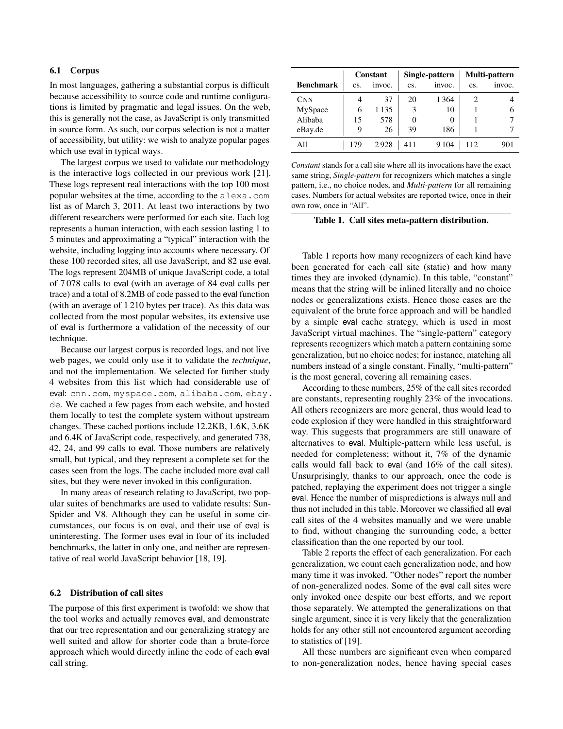#### 6.1 Corpus

In most languages, gathering a substantial corpus is difficult because accessibility to source code and runtime configurations is limited by pragmatic and legal issues. On the web, this is generally not the case, as JavaScript is only transmitted in source form. As such, our corpus selection is not a matter of accessibility, but utility: we wish to analyze popular pages which use eval in typical ways.

The largest corpus we used to validate our methodology is the interactive logs collected in our previous work [\[21\]](#page-13-11). These logs represent real interactions with the top 100 most popular websites at the time, according to the <alexa.com> list as of March 3, 2011. At least two interactions by two different researchers were performed for each site. Each log represents a human interaction, with each session lasting 1 to 5 minutes and approximating a "typical" interaction with the website, including logging into accounts where necessary. Of these 100 recorded sites, all use JavaScript, and 82 use eval. The logs represent 204MB of unique JavaScript code, a total of 7 078 calls to eval (with an average of 84 eval calls per trace) and a total of 8.2MB of code passed to the eval function (with an average of 1 210 bytes per trace). As this data was collected from the most popular websites, its extensive use of eval is furthermore a validation of the necessity of our technique.

Because our largest corpus is recorded logs, and not live web pages, we could only use it to validate the *technique*, and not the implementation. We selected for further study 4 websites from this list which had considerable use of eval: <cnn.com>, <myspace.com>, <alibaba.com>, [ebay.](ebay.de) [de](ebay.de). We cached a few pages from each website, and hosted them locally to test the complete system without upstream changes. These cached portions include 12.2KB, 1.6K, 3.6K and 6.4K of JavaScript code, respectively, and generated 738, 42, 24, and 99 calls to eval. Those numbers are relatively small, but typical, and they represent a complete set for the cases seen from the logs. The cache included more eval call sites, but they were never invoked in this configuration.

In many areas of research relating to JavaScript, two popular suites of benchmarks are used to validate results: Sun-Spider and V8. Although they can be useful in some circumstances, our focus is on eval, and their use of eval is uninteresting. The former uses eval in four of its included benchmarks, the latter in only one, and neither are representative of real world JavaScript behavior [\[18,](#page-13-15) [19\]](#page-13-13).

#### 6.2 Distribution of call sites

The purpose of this first experiment is twofold: we show that the tool works and actually removes eval, and demonstrate that our tree representation and our generalizing strategy are well suited and allow for shorter code than a brute-force approach which would directly inline the code of each eval call string.

|                  |     | Constant |     | Single-pattern | Multi-pattern |        |
|------------------|-----|----------|-----|----------------|---------------|--------|
| <b>Benchmark</b> | CS. | invoc.   | CS. | invoc.         | CS.           | invoc. |
| <b>CNN</b>       |     | 37       | 20  | 1 3 6 4        |               |        |
| MySpace          | 6   | 1 1 3 5  | 3   | 10             |               |        |
| Alibaba          | 15  | 578      |     |                |               |        |
| eBay.de          | 9   | 26       | 39  | 186            |               |        |
| All              | 179 | 2928     | 411 | 9 1 0 4        |               | 901    |

*Constant* stands for a call site where all its invocations have the exact same string, *Single-pattern* for recognizers which matches a single pattern, i.e., no choice nodes, and *Multi-pattern* for all remaining cases. Numbers for actual websites are reported twice, once in their own row, once in "All".

#### <span id="page-9-0"></span>Table 1. Call sites meta-pattern distribution.

Table [1](#page-9-0) reports how many recognizers of each kind have been generated for each call site (static) and how many times they are invoked (dynamic). In this table, "constant" means that the string will be inlined literally and no choice nodes or generalizations exists. Hence those cases are the equivalent of the brute force approach and will be handled by a simple eval cache strategy, which is used in most JavaScript virtual machines. The "single-pattern" category represents recognizers which match a pattern containing some generalization, but no choice nodes; for instance, matching all numbers instead of a single constant. Finally, "multi-pattern" is the most general, covering all remaining cases.

According to these numbers, 25% of the call sites recorded are constants, representing roughly 23% of the invocations. All others recognizers are more general, thus would lead to code explosion if they were handled in this straightforward way. This suggests that programmers are still unaware of alternatives to eval. Multiple-pattern while less useful, is needed for completeness; without it, 7% of the dynamic calls would fall back to eval (and 16% of the call sites). Unsurprisingly, thanks to our approach, once the code is patched, replaying the experiment does not trigger a single eval. Hence the number of mispredictions is always null and thus not included in this table. Moreover we classified all eval call sites of the 4 websites manually and we were unable to find, without changing the surrounding code, a better classification than the one reported by our tool.

Table [2](#page-10-0) reports the effect of each generalization. For each generalization, we count each generalization node, and how many time it was invoked. "Other nodes" report the number of non-generalized nodes. Some of the eval call sites were only invoked once despite our best efforts, and we report those separately. We attempted the generalizations on that single argument, since it is very likely that the generalization holds for any other still not encountered argument according to statistics of [\[19\]](#page-13-13).

All these numbers are significant even when compared to non-generalization nodes, hence having special cases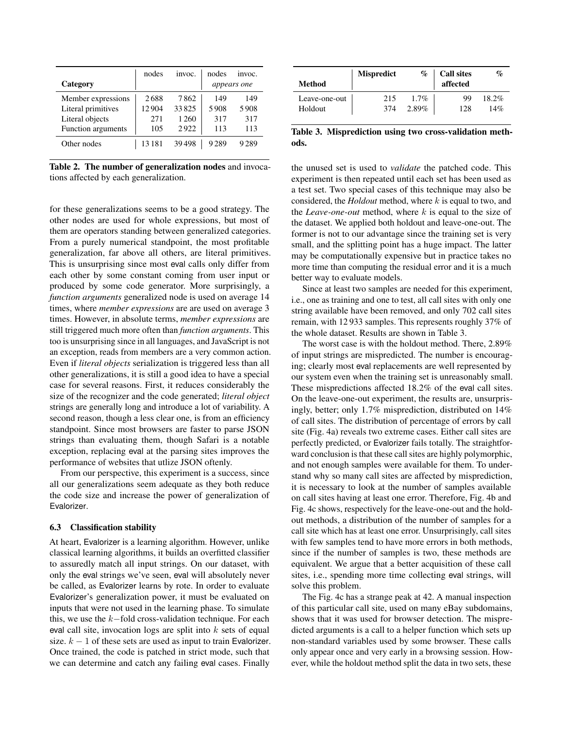| Category           | nodes   | invoc. | nodes<br>invoc.<br>appears one |      |
|--------------------|---------|--------|--------------------------------|------|
| Member expressions | 2688    | 7862   | 149                            | 149  |
| Literal primitives | 12904   | 33825  | 5908                           | 5908 |
| Literal objects    | 271     | 1 260  | 317                            | 317  |
| Function arguments | 105     | 2922   | 113                            | 113  |
| Other nodes        | 13 18 1 | 39498  | 9289                           | 9289 |

<span id="page-10-0"></span>Table 2. The number of generalization nodes and invocations affected by each generalization.

for these generalizations seems to be a good strategy. The other nodes are used for whole expressions, but most of them are operators standing between generalized categories. From a purely numerical standpoint, the most profitable generalization, far above all others, are literal primitives. This is unsurprising since most eval calls only differ from each other by some constant coming from user input or produced by some code generator. More surprisingly, a *function arguments* generalized node is used on average 14 times, where *member expressions* are are used on average 3 times. However, in absolute terms, *member expressions* are still triggered much more often than *function arguments*. This too is unsurprising since in all languages, and JavaScript is not an exception, reads from members are a very common action. Even if *literal objects* serialization is triggered less than all other generalizations, it is still a good idea to have a special case for several reasons. First, it reduces considerably the size of the recognizer and the code generated; *literal object* strings are generally long and introduce a lot of variability. A second reason, though a less clear one, is from an efficiency standpoint. Since most browsers are faster to parse JSON strings than evaluating them, though Safari is a notable exception, replacing eval at the parsing sites improves the performance of websites that utlize JSON oftenly.

From our perspective, this experiment is a success, since all our generalizations seem adequate as they both reduce the code size and increase the power of generalization of Evalorizer.

#### 6.3 Classification stability

At heart, Evalorizer is a learning algorithm. However, unlike classical learning algorithms, it builds an overfitted classifier to assuredly match all input strings. On our dataset, with only the eval strings we've seen, eval will absolutely never be called, as Evalorizer learns by rote. In order to evaluate Evalorizer's generalization power, it must be evaluated on inputs that were not used in the learning phase. To simulate this, we use the  $k$ −fold cross-validation technique. For each eval call site, invocation logs are split into  $k$  sets of equal size.  $k - 1$  of these sets are used as input to train Evalorizer. Once trained, the code is patched in strict mode, such that we can determine and catch any failing eval cases. Finally

| Method        | <b>Mispredict</b> | %       | <b>Call sites</b><br>affected | $\%$     |
|---------------|-------------------|---------|-------------------------------|----------|
| Leave-one-out | 215               | $1.7\%$ | 99                            | $18.2\%$ |
| Holdout       | 374               | 2.89%   | 128                           | 14%      |

<span id="page-10-1"></span>Table 3. Misprediction using two cross-validation methods.

the unused set is used to *validate* the patched code. This experiment is then repeated until each set has been used as a test set. Two special cases of this technique may also be considered, the *Holdout* method, where k is equal to two, and the *Leave-one-out* method, where k is equal to the size of the dataset. We applied both holdout and leave-one-out. The former is not to our advantage since the training set is very small, and the splitting point has a huge impact. The latter may be computationally expensive but in practice takes no more time than computing the residual error and it is a much better way to evaluate models.

Since at least two samples are needed for this experiment, i.e., one as training and one to test, all call sites with only one string available have been removed, and only 702 call sites remain, with 12 933 samples. This represents roughly 37% of the whole dataset. Results are shown in Table [3.](#page-10-1)

The worst case is with the holdout method. There, 2.89% of input strings are mispredicted. The number is encouraging; clearly most eval replacements are well represented by our system even when the training set is unreasonably small. These mispredictions affected 18.2% of the eval call sites. On the leave-one-out experiment, the results are, unsurprisingly, better; only 1.7% misprediction, distributed on 14% of call sites. The distribution of percentage of errors by call site (Fig. [4a\)](#page-11-0) reveals two extreme cases. Either call sites are perfectly predicted, or Evalorizer fails totally. The straightforward conclusion is that these call sites are highly polymorphic, and not enough samples were available for them. To understand why so many call sites are affected by misprediction, it is necessary to look at the number of samples available on call sites having at least one error. Therefore, Fig. [4b](#page-11-1) and Fig. [4c](#page-11-2) shows, respectively for the leave-one-out and the holdout methods, a distribution of the number of samples for a call site which has at least one error. Unsurprisingly, call sites with few samples tend to have more errors in both methods, since if the number of samples is two, these methods are equivalent. We argue that a better acquisition of these call sites, i.e., spending more time collecting eval strings, will solve this problem.

The Fig. [4c](#page-11-2) has a strange peak at 42. A manual inspection of this particular call site, used on many eBay subdomains, shows that it was used for browser detection. The mispredicted arguments is a call to a helper function which sets up non-standard variables used by some browser. These calls only appear once and very early in a browsing session. However, while the holdout method split the data in two sets, these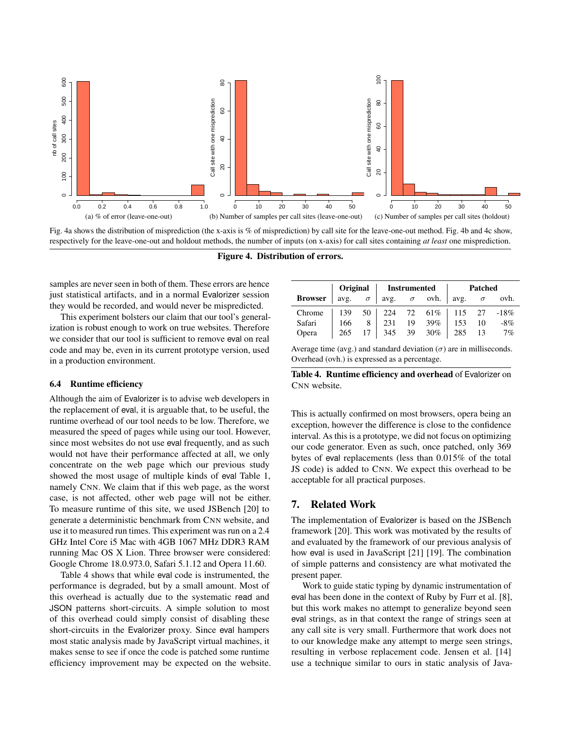<span id="page-11-0"></span>

Fig. [4a](#page-11-0) shows the distribution of misprediction (the x-axis is % of misprediction) by call site for the leave-one-out method. Fig. [4b](#page-11-1) and [4c](#page-11-2) show, respectively for the leave-one-out and holdout methods, the number of inputs (on x-axis) for call sites containing *at least* one misprediction.

<span id="page-11-1"></span>Figure 4. Distribution of errors.

samples are never seen in both of them. These errors are hence just statistical artifacts, and in a normal Evalorizer session they would be recorded, and would never be mispredicted.

This experiment bolsters our claim that our tool's generalization is robust enough to work on true websites. Therefore we consider that our tool is sufficient to remove eval on real code and may be, even in its current prototype version, used in a production environment.

#### 6.4 Runtime efficiency

Although the aim of Evalorizer is to advise web developers in the replacement of eval, it is arguable that, to be useful, the runtime overhead of our tool needs to be low. Therefore, we measured the speed of pages while using our tool. However, since most websites do not use eval frequently, and as such would not have their performance affected at all, we only concentrate on the web page which our previous study showed the most usage of multiple kinds of eval Table [1,](#page-9-0) namely CNN. We claim that if this web page, as the worst case, is not affected, other web page will not be either. To measure runtime of this site, we used JSBench [\[20\]](#page-13-16) to generate a deterministic benchmark from CNN website, and use it to measured run times. This experiment was run on a 2.4 GHz Intel Core i5 Mac with 4GB 1067 MHz DDR3 RAM running Mac OS X Lion. Three browser were considered: Google Chrome 18.0.973.0, Safari 5.1.12 and Opera 11.60.

Table [4](#page-11-3) shows that while eval code is instrumented, the performance is degraded, but by a small amount. Most of this overhead is actually due to the systematic read and JSON patterns short-circuits. A simple solution to most of this overhead could simply consist of disabling these short-circuits in the Evalorizer proxy. Since eval hampers most static analysis made by JavaScript virtual machines, it makes sense to see if once the code is patched some runtime efficiency improvement may be expected on the website.

<span id="page-11-2"></span>

|                |        |   | Original   Instrumented |    |                                                    | Patched |  |      |
|----------------|--------|---|-------------------------|----|----------------------------------------------------|---------|--|------|
| <b>Browser</b> |        |   |                         |    | avg. $\sigma$   avg. $\sigma$ ovh.   avg. $\sigma$ |         |  | ovh. |
| Chrome         |        |   |                         |    | 139 50   224 72 61%   115 27 -18%                  |         |  |      |
| Safari         | 166    | 8 | 231                     | 19 | 39%   153 10                                       |         |  | -8%  |
| Opera          | 265 17 |   |                         |    | 345 39 30%                                         | 285 13  |  | 7%   |

Average time (avg.) and standard deviation  $(\sigma)$  are in milliseconds. Overhead (ovh.) is expressed as a percentage.

<span id="page-11-3"></span>Table 4. Runtime efficiency and overhead of Evalorizer on CNN website.

This is actually confirmed on most browsers, opera being an exception, however the difference is close to the confidence interval. As this is a prototype, we did not focus on optimizing our code generator. Even as such, once patched, only 369 bytes of eval replacements (less than 0.015% of the total JS code) is added to CNN. We expect this overhead to be acceptable for all practical purposes.

#### 7. Related Work

The implementation of Evalorizer is based on the JSBench framework [\[20\]](#page-13-16). This work was motivated by the results of and evaluated by the framework of our previous analysis of how eval is used in JavaScript [\[21\]](#page-13-11) [\[19\]](#page-13-13). The combination of simple patterns and consistency are what motivated the present paper.

Work to guide static typing by dynamic instrumentation of eval has been done in the context of Ruby by Furr et al. [\[8\]](#page-13-14), but this work makes no attempt to generalize beyond seen eval strings, as in that context the range of strings seen at any call site is very small. Furthermore that work does not to our knowledge make any attempt to merge seen strings, resulting in verbose replacement code. Jensen et al. [\[14\]](#page-13-17) use a technique similar to ours in static analysis of Java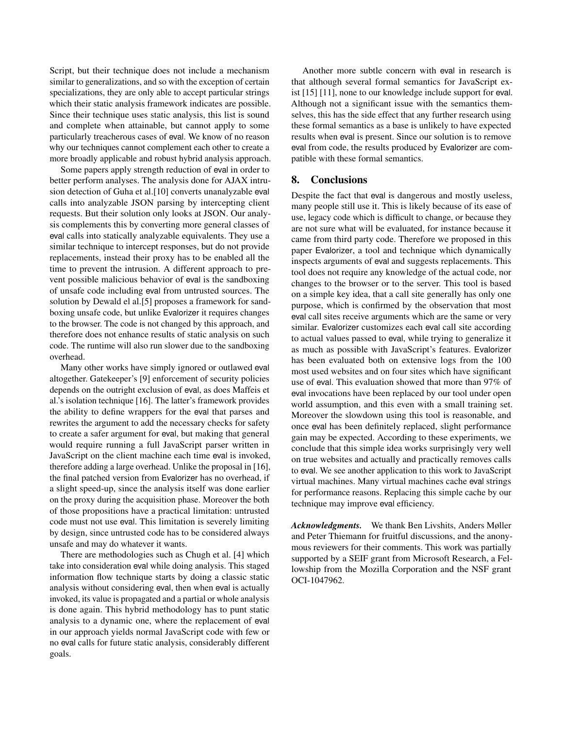Script, but their technique does not include a mechanism similar to generalizations, and so with the exception of certain specializations, they are only able to accept particular strings which their static analysis framework indicates are possible. Since their technique uses static analysis, this list is sound and complete when attainable, but cannot apply to some particularly treacherous cases of eval. We know of no reason why our techniques cannot complement each other to create a more broadly applicable and robust hybrid analysis approach.

Some papers apply strength reduction of eval in order to better perform analyses. The analysis done for AJAX intru-sion detection of Guha et al.<sup>[\[10\]](#page-13-5)</sup> converts unanalyzable eval calls into analyzable JSON parsing by intercepting client requests. But their solution only looks at JSON. Our analysis complements this by converting more general classes of eval calls into statically analyzable equivalents. They use a similar technique to intercept responses, but do not provide replacements, instead their proxy has to be enabled all the time to prevent the intrusion. A different approach to prevent possible malicious behavior of eval is the sandboxing of unsafe code including eval from untrusted sources. The solution by Dewald el al.[\[5\]](#page-13-18) proposes a framework for sandboxing unsafe code, but unlike Evalorizer it requires changes to the browser. The code is not changed by this approach, and therefore does not enhance results of static analysis on such code. The runtime will also run slower due to the sandboxing overhead.

Many other works have simply ignored or outlawed eval altogether. Gatekeeper's [\[9\]](#page-13-4) enforcement of security policies depends on the outright exclusion of eval, as does Maffeis et al.'s isolation technique [\[16\]](#page-13-8). The latter's framework provides the ability to define wrappers for the eval that parses and rewrites the argument to add the necessary checks for safety to create a safer argument for eval, but making that general would require running a full JavaScript parser written in JavaScript on the client machine each time eval is invoked, therefore adding a large overhead. Unlike the proposal in [\[16\]](#page-13-8), the final patched version from Evalorizer has no overhead, if a slight speed-up, since the analysis itself was done earlier on the proxy during the acquisition phase. Moreover the both of those propositions have a practical limitation: untrusted code must not use eval. This limitation is severely limiting by design, since untrusted code has to be considered always unsafe and may do whatever it wants.

There are methodologies such as Chugh et al. [\[4\]](#page-13-19) which take into consideration eval while doing analysis. This staged information flow technique starts by doing a classic static analysis without considering eval, then when eval is actually invoked, its value is propagated and a partial or whole analysis is done again. This hybrid methodology has to punt static analysis to a dynamic one, where the replacement of eval in our approach yields normal JavaScript code with few or no eval calls for future static analysis, considerably different goals.

Another more subtle concern with eval in research is that although several formal semantics for JavaScript exist [\[15\]](#page-13-20) [\[11\]](#page-13-21), none to our knowledge include support for eval. Although not a significant issue with the semantics themselves, this has the side effect that any further research using these formal semantics as a base is unlikely to have expected results when eval is present. Since our solution is to remove eval from code, the results produced by Evalorizer are compatible with these formal semantics.

## 8. Conclusions

Despite the fact that eval is dangerous and mostly useless, many people still use it. This is likely because of its ease of use, legacy code which is difficult to change, or because they are not sure what will be evaluated, for instance because it came from third party code. Therefore we proposed in this paper Evalorizer, a tool and technique which dynamically inspects arguments of eval and suggests replacements. This tool does not require any knowledge of the actual code, nor changes to the browser or to the server. This tool is based on a simple key idea, that a call site generally has only one purpose, which is confirmed by the observation that most eval call sites receive arguments which are the same or very similar. Evalorizer customizes each eval call site according to actual values passed to eval, while trying to generalize it as much as possible with JavaScript's features. Evalorizer has been evaluated both on extensive logs from the 100 most used websites and on four sites which have significant use of eval. This evaluation showed that more than 97% of eval invocations have been replaced by our tool under open world assumption, and this even with a small training set. Moreover the slowdown using this tool is reasonable, and once eval has been definitely replaced, slight performance gain may be expected. According to these experiments, we conclude that this simple idea works surprisingly very well on true websites and actually and practically removes calls to eval. We see another application to this work to JavaScript virtual machines. Many virtual machines cache eval strings for performance reasons. Replacing this simple cache by our technique may improve eval efficiency.

*Acknowledgments.* We thank Ben Livshits, Anders Møller and Peter Thiemann for fruitful discussions, and the anonymous reviewers for their comments. This work was partially supported by a SEIF grant from Microsoft Research, a Fellowship from the Mozilla Corporation and the NSF grant OCI-1047962.